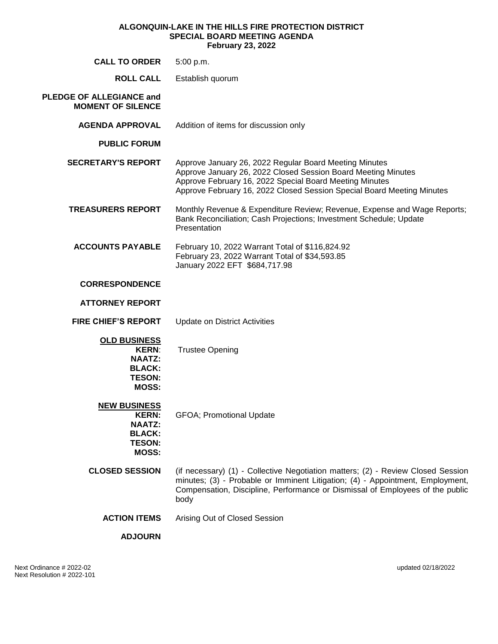#### **ALGONQUIN-LAKE IN THE HILLS FIRE PROTECTION DISTRICT SPECIAL BOARD MEETING AGENDA February 23, 2022**

| <b>CALL TO ORDER</b>                                                                                   | 5:00 p.m.                                                                                                                                                                                                                                                    |
|--------------------------------------------------------------------------------------------------------|--------------------------------------------------------------------------------------------------------------------------------------------------------------------------------------------------------------------------------------------------------------|
| <b>ROLL CALL</b>                                                                                       | Establish quorum                                                                                                                                                                                                                                             |
| PLEDGE OF ALLEGIANCE and<br><b>MOMENT OF SILENCE</b>                                                   |                                                                                                                                                                                                                                                              |
| <b>AGENDA APPROVAL</b>                                                                                 | Addition of items for discussion only                                                                                                                                                                                                                        |
| <b>PUBLIC FORUM</b>                                                                                    |                                                                                                                                                                                                                                                              |
| <b>SECRETARY'S REPORT</b>                                                                              | Approve January 26, 2022 Regular Board Meeting Minutes<br>Approve January 26, 2022 Closed Session Board Meeting Minutes<br>Approve February 16, 2022 Special Board Meeting Minutes<br>Approve February 16, 2022 Closed Session Special Board Meeting Minutes |
| <b>TREASURERS REPORT</b>                                                                               | Monthly Revenue & Expenditure Review; Revenue, Expense and Wage Reports;<br>Bank Reconciliation; Cash Projections; Investment Schedule; Update<br>Presentation                                                                                               |
| <b>ACCOUNTS PAYABLE</b>                                                                                | February 10, 2022 Warrant Total of \$116,824.92<br>February 23, 2022 Warrant Total of \$34,593.85<br>January 2022 EFT \$684,717.98                                                                                                                           |
| <b>CORRESPONDENCE</b>                                                                                  |                                                                                                                                                                                                                                                              |
| <b>ATTORNEY REPORT</b>                                                                                 |                                                                                                                                                                                                                                                              |
| <b>FIRE CHIEF'S REPORT</b>                                                                             | <b>Update on District Activities</b>                                                                                                                                                                                                                         |
| <b>OLD BUSINESS</b><br><b>KERN:</b><br><b>NAATZ:</b><br><b>BLACK:</b><br><b>TESON:</b><br><b>MOSS:</b> | <b>Trustee Opening</b>                                                                                                                                                                                                                                       |
| <b>NEW BUSINESS</b><br><b>KERN:</b><br><b>NAATZ:</b><br><b>BLACK:</b><br><b>TESON:</b><br><b>MOSS:</b> | <b>GFOA</b> ; Promotional Update                                                                                                                                                                                                                             |
| <b>CLOSED SESSION</b>                                                                                  | (if necessary) (1) - Collective Negotiation matters; (2) - Review Closed Session<br>minutes; (3) - Probable or Imminent Litigation; (4) - Appointment, Employment,<br>Compensation, Discipline, Performance or Dismissal of Employees of the public<br>body  |
| <b>ACTION ITEMS</b>                                                                                    | Arising Out of Closed Session                                                                                                                                                                                                                                |
| <b>ADJOURN</b>                                                                                         |                                                                                                                                                                                                                                                              |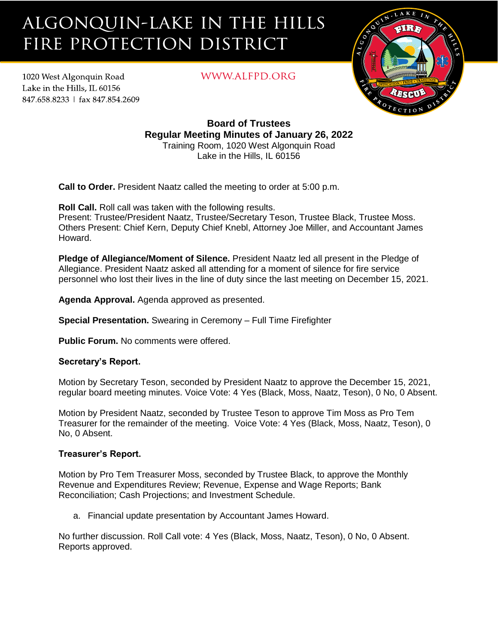# ALGONQUIN-LAKE IN THE HILLS FIRE PROTECTION DISTRICT

1020 West Algonquin Road Lake in the Hills. IL 60156 847.658.8233 | fax 847.854.2609 WWW.ALFPD.ORG



**Board of Trustees Regular Meeting Minutes of January 26, 2022** Training Room, 1020 West Algonquin Road Lake in the Hills, IL 60156

**Call to Order.** President Naatz called the meeting to order at 5:00 p.m.

**Roll Call.** Roll call was taken with the following results.

Present: Trustee/President Naatz, Trustee/Secretary Teson, Trustee Black, Trustee Moss. Others Present: Chief Kern, Deputy Chief Knebl, Attorney Joe Miller, and Accountant James Howard.

**Pledge of Allegiance/Moment of Silence.** President Naatz led all present in the Pledge of Allegiance. President Naatz asked all attending for a moment of silence for fire service personnel who lost their lives in the line of duty since the last meeting on December 15, 2021.

**Agenda Approval.** Agenda approved as presented.

**Special Presentation.** Swearing in Ceremony – Full Time Firefighter

**Public Forum.** No comments were offered.

# **Secretary's Report.**

Motion by Secretary Teson, seconded by President Naatz to approve the December 15, 2021, regular board meeting minutes. Voice Vote: 4 Yes (Black, Moss, Naatz, Teson), 0 No, 0 Absent.

Motion by President Naatz, seconded by Trustee Teson to approve Tim Moss as Pro Tem Treasurer for the remainder of the meeting. Voice Vote: 4 Yes (Black, Moss, Naatz, Teson), 0 No, 0 Absent.

# **Treasurer's Report.**

Motion by Pro Tem Treasurer Moss, seconded by Trustee Black, to approve the Monthly Revenue and Expenditures Review; Revenue, Expense and Wage Reports; Bank Reconciliation; Cash Projections; and Investment Schedule.

a. Financial update presentation by Accountant James Howard.

No further discussion. Roll Call vote: 4 Yes (Black, Moss, Naatz, Teson), 0 No, 0 Absent. Reports approved.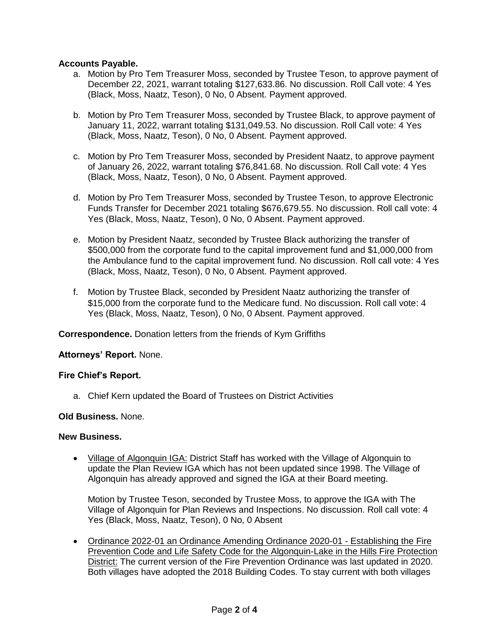## **Accounts Payable.**

- a. Motion by Pro Tem Treasurer Moss, seconded by Trustee Teson, to approve payment of December 22, 2021, warrant totaling \$127,633.86. No discussion. Roll Call vote: 4 Yes (Black, Moss, Naatz, Teson), 0 No, 0 Absent. Payment approved.
- b. Motion by Pro Tem Treasurer Moss, seconded by Trustee Black, to approve payment of January 11, 2022, warrant totaling \$131,049.53. No discussion. Roll Call vote: 4 Yes (Black, Moss, Naatz, Teson), 0 No, 0 Absent. Payment approved.
- c. Motion by Pro Tem Treasurer Moss, seconded by President Naatz, to approve payment of January 26, 2022, warrant totaling \$76,841.68. No discussion. Roll Call vote: 4 Yes (Black, Moss, Naatz, Teson), 0 No, 0 Absent. Payment approved.
- d. Motion by Pro Tem Treasurer Moss, seconded by Trustee Teson, to approve Electronic Funds Transfer for December 2021 totaling \$676,679.55. No discussion. Roll call vote: 4 Yes (Black, Moss, Naatz, Teson), 0 No, 0 Absent. Payment approved.
- e. Motion by President Naatz, seconded by Trustee Black authorizing the transfer of \$500,000 from the corporate fund to the capital improvement fund and \$1,000,000 from the Ambulance fund to the capital improvement fund. No discussion. Roll call vote: 4 Yes (Black, Moss, Naatz, Teson), 0 No, 0 Absent. Payment approved.
- f. Motion by Trustee Black, seconded by President Naatz authorizing the transfer of \$15,000 from the corporate fund to the Medicare fund. No discussion. Roll call vote: 4 Yes (Black, Moss, Naatz, Teson), 0 No, 0 Absent. Payment approved.

**Correspondence.** Donation letters from the friends of Kym Griffiths

## **Attorneys' Report.** None.

#### **Fire Chief's Report.**

a. Chief Kern updated the Board of Trustees on District Activities

#### **Old Business.** None.

#### **New Business.**

• Village of Algonquin IGA: District Staff has worked with the Village of Algonquin to update the Plan Review IGA which has not been updated since 1998. The Village of Algonquin has already approved and signed the IGA at their Board meeting.

Motion by Trustee Teson, seconded by Trustee Moss, to approve the IGA with The Village of Algonquin for Plan Reviews and Inspections. No discussion. Roll call vote: 4 Yes (Black, Moss, Naatz, Teson), 0 No, 0 Absent

• Ordinance 2022-01 an Ordinance Amending Ordinance 2020-01 - Establishing the Fire Prevention Code and Life Safety Code for the Algonquin-Lake in the Hills Fire Protection District: The current version of the Fire Prevention Ordinance was last updated in 2020. Both villages have adopted the 2018 Building Codes. To stay current with both villages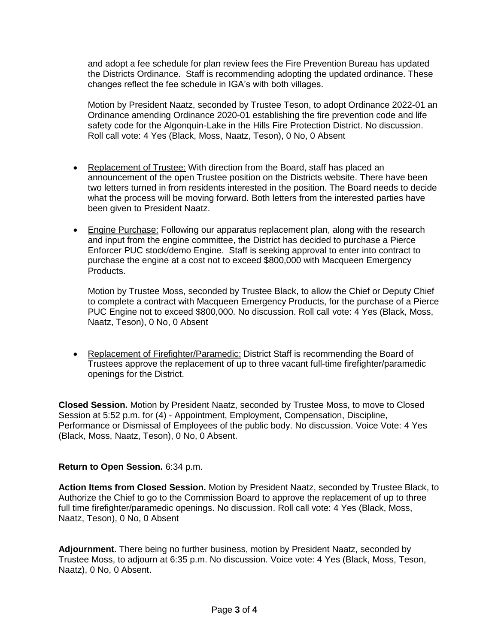and adopt a fee schedule for plan review fees the Fire Prevention Bureau has updated the Districts Ordinance. Staff is recommending adopting the updated ordinance. These changes reflect the fee schedule in IGA's with both villages.

Motion by President Naatz, seconded by Trustee Teson, to adopt Ordinance 2022-01 an Ordinance amending Ordinance 2020-01 establishing the fire prevention code and life safety code for the Algonquin-Lake in the Hills Fire Protection District. No discussion. Roll call vote: 4 Yes (Black, Moss, Naatz, Teson), 0 No, 0 Absent

- Replacement of Trustee: With direction from the Board, staff has placed an announcement of the open Trustee position on the Districts website. There have been two letters turned in from residents interested in the position. The Board needs to decide what the process will be moving forward. Both letters from the interested parties have been given to President Naatz.
- Engine Purchase: Following our apparatus replacement plan, along with the research and input from the engine committee, the District has decided to purchase a Pierce Enforcer PUC stock/demo Engine. Staff is seeking approval to enter into contract to purchase the engine at a cost not to exceed \$800,000 with Macqueen Emergency Products.

Motion by Trustee Moss, seconded by Trustee Black, to allow the Chief or Deputy Chief to complete a contract with Macqueen Emergency Products, for the purchase of a Pierce PUC Engine not to exceed \$800,000. No discussion. Roll call vote: 4 Yes (Black, Moss, Naatz, Teson), 0 No, 0 Absent

• Replacement of Firefighter/Paramedic: District Staff is recommending the Board of Trustees approve the replacement of up to three vacant full-time firefighter/paramedic openings for the District.

**Closed Session.** Motion by President Naatz, seconded by Trustee Moss, to move to Closed Session at 5:52 p.m. for (4) - Appointment, Employment, Compensation, Discipline, Performance or Dismissal of Employees of the public body. No discussion. Voice Vote: 4 Yes (Black, Moss, Naatz, Teson), 0 No, 0 Absent.

## **Return to Open Session.** 6:34 p.m.

**Action Items from Closed Session.** Motion by President Naatz, seconded by Trustee Black, to Authorize the Chief to go to the Commission Board to approve the replacement of up to three full time firefighter/paramedic openings. No discussion. Roll call vote: 4 Yes (Black, Moss, Naatz, Teson), 0 No, 0 Absent

**Adjournment.** There being no further business, motion by President Naatz, seconded by Trustee Moss, to adjourn at 6:35 p.m. No discussion. Voice vote: 4 Yes (Black, Moss, Teson, Naatz), 0 No, 0 Absent.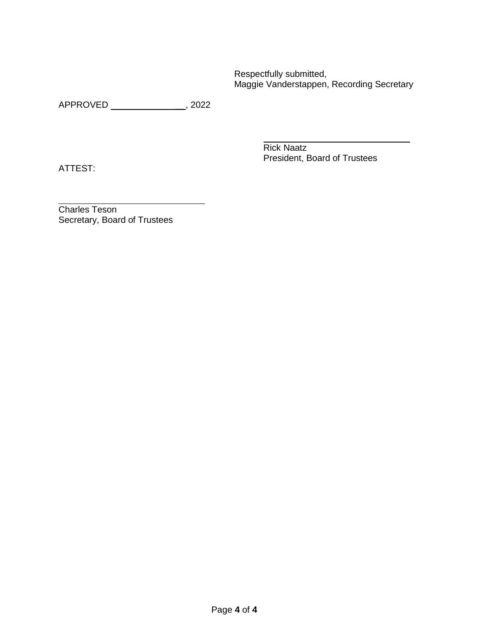Respectfully submitted, Maggie Vanderstappen, Recording Secretary

APPROVED \_\_, 2022

ATTEST:

Rick Naatz President, Board of Trustees

Charles Teson Secretary, Board of Trustees